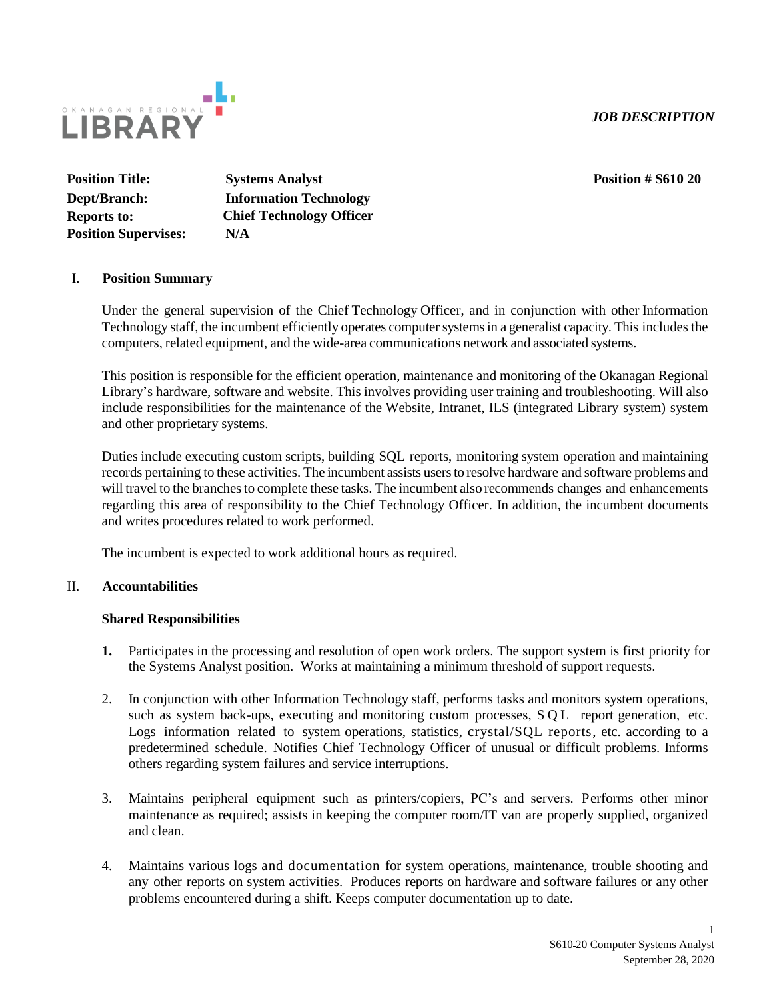#### *JOB DESCRIPTION*



**Position Title: Systems Analyst Position # S610 20 Dept/Branch: Information Technology Reports to: Chief Technology Officer Position Supervises: N/A**

#### I. **Position Summary**

Under the general supervision of the Chief Technology Officer, and in conjunction with other Information Technology staff, the incumbent efficiently operates computer systems in a generalist capacity. This includes the computers, related equipment, and the wide-area communications network and associated systems.

This position is responsible for the efficient operation, maintenance and monitoring of the Okanagan Regional Library's hardware, software and website. This involves providing user training and troubleshooting. Will also include responsibilities for the maintenance of the Website, Intranet, ILS (integrated Library system) system and other proprietary systems.

Duties include executing custom scripts, building SQL reports, monitoring system operation and maintaining records pertaining to these activities. The incumbent assists usersto resolve hardware and software problems and will travel to the branches to complete these tasks. The incumbent also recommends changes and enhancements regarding this area of responsibility to the Chief Technology Officer. In addition, the incumbent documents and writes procedures related to work performed.

The incumbent is expected to work additional hours as required.

#### II. **Accountabilities**

#### **Shared Responsibilities**

- **1.** Participates in the processing and resolution of open work orders. The support system is first priority for the Systems Analyst position. Works at maintaining a minimum threshold of support requests.
- 2. In conjunction with other Information Technology staff, performs tasks and monitors system operations, such as system back-ups, executing and monitoring custom processes, SQL report generation, etc. Logs information related to system operations, statistics, crystal/SQL reports, etc. according to a predetermined schedule. Notifies Chief Technology Officer of unusual or difficult problems. Informs others regarding system failures and service interruptions.
- 3. Maintains peripheral equipment such as printers/copiers, PC's and servers. Performs other minor maintenance as required; assists in keeping the computer room/IT van are properly supplied, organized and clean.
- 4. Maintains various logs and documentation for system operations, maintenance, trouble shooting and any other reports on system activities. Produces reports on hardware and software failures or any other problems encountered during a shift. Keeps computer documentation up to date.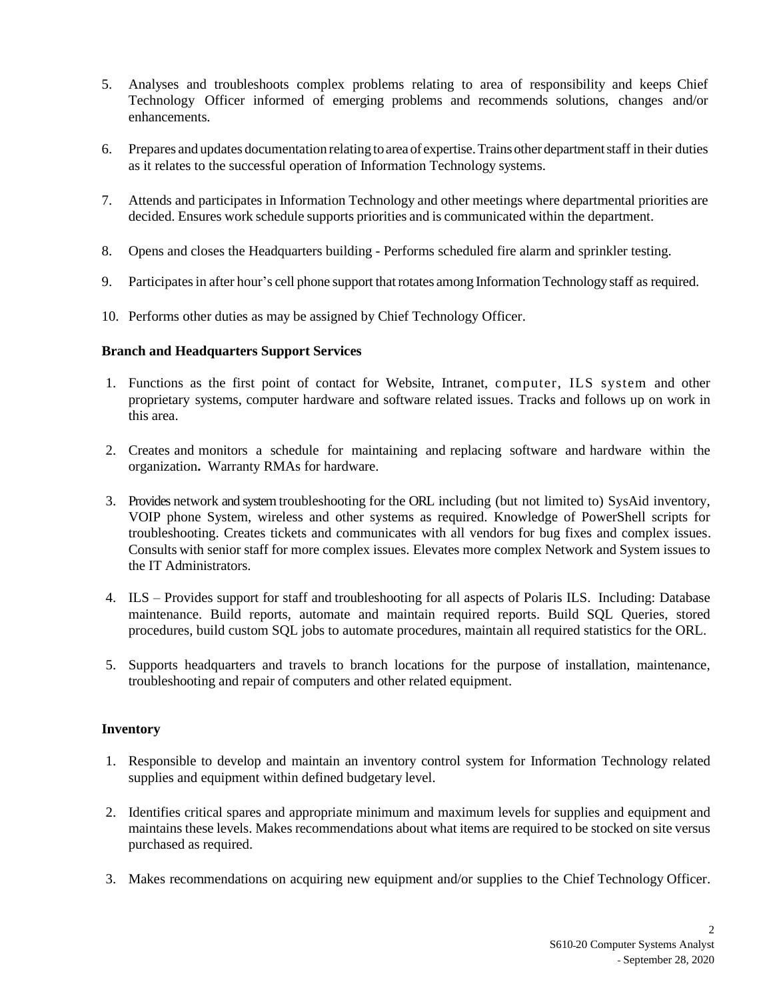- 5. Analyses and troubleshoots complex problems relating to area of responsibility and keeps Chief Technology Officer informed of emerging problems and recommends solutions, changes and/or enhancements.
- 6. Prepares and updates documentation relating toareaof expertise.Trains other departmentstaff in their duties as it relates to the successful operation of Information Technology systems.
- 7. Attends and participates in Information Technology and other meetings where departmental priorities are decided. Ensures work schedule supports priorities and is communicated within the department.
- 8. Opens and closes the Headquarters building Performs scheduled fire alarm and sprinkler testing.
- 9. Participates in after hour's cell phone support that rotates among Information Technology staff as required.
- 10. Performs other duties as may be assigned by Chief Technology Officer.

## **Branch and Headquarters Support Services**

- 1. Functions as the first point of contact for Website, Intranet, computer, ILS system and other proprietary systems, computer hardware and software related issues. Tracks and follows up on work in this area.
- 2. Creates and monitors a schedule for maintaining and replacing software and hardware within the organization**.** Warranty RMAs for hardware.
- 3. Provides network and system troubleshooting for the ORL including (but not limited to) SysAid inventory, VOIP phone System, wireless and other systems as required. Knowledge of PowerShell scripts for troubleshooting. Creates tickets and communicates with all vendors for bug fixes and complex issues. Consults with senior staff for more complex issues. Elevates more complex Network and System issues to the IT Administrators.
- 4. ILS Provides support for staff and troubleshooting for all aspects of Polaris ILS. Including: Database maintenance. Build reports, automate and maintain required reports. Build SQL Queries, stored procedures, build custom SQL jobs to automate procedures, maintain all required statistics for the ORL.
- 5. Supports headquarters and travels to branch locations for the purpose of installation, maintenance, troubleshooting and repair of computers and other related equipment.

#### **Inventory**

- 1. Responsible to develop and maintain an inventory control system for Information Technology related supplies and equipment within defined budgetary level.
- 2. Identifies critical spares and appropriate minimum and maximum levels for supplies and equipment and maintains these levels. Makes recommendations about what items are required to be stocked on site versus purchased as required.
- 3. Makes recommendations on acquiring new equipment and/or supplies to the Chief Technology Officer.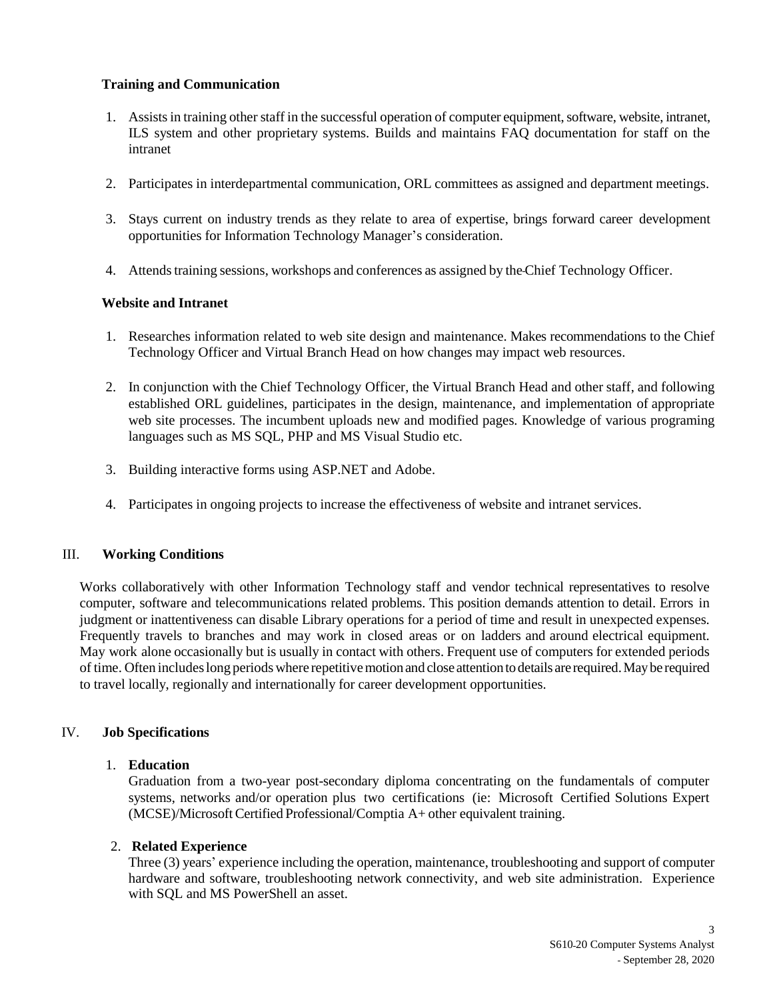# **Training and Communication**

- 1. Assists in training other staff in the successful operation of computer equipment, software, website, intranet, ILS system and other proprietary systems. Builds and maintains FAQ documentation for staff on the intranet
- 2. Participates in interdepartmental communication, ORL committees as assigned and department meetings.
- 3. Stays current on industry trends as they relate to area of expertise, brings forward career development opportunities for Information Technology Manager's consideration.
- 4. Attends training sessions, workshops and conferences as assigned by the Chief Technology Officer.

## **Website and Intranet**

- 1. Researches information related to web site design and maintenance. Makes recommendations to the Chief Technology Officer and Virtual Branch Head on how changes may impact web resources.
- 2. In conjunction with the Chief Technology Officer, the Virtual Branch Head and other staff, and following established ORL guidelines, participates in the design, maintenance, and implementation of appropriate web site processes. The incumbent uploads new and modified pages. Knowledge of various programing languages such as MS SQL, PHP and MS Visual Studio etc.
- 3. Building interactive forms using ASP.NET and Adobe.
- 4. Participates in ongoing projects to increase the effectiveness of website and intranet services.

#### III. **Working Conditions**

Works collaboratively with other Information Technology staff and vendor technical representatives to resolve computer, software and telecommunications related problems. This position demands attention to detail. Errors in judgment or inattentiveness can disable Library operations for a period of time and result in unexpected expenses. Frequently travels to branches and may work in closed areas or on ladders and around electrical equipment. May work alone occasionally but is usually in contact with others. Frequent use of computers for extended periods of time. Often includeslong periodswhere repetitivemotionand close attentiontodetails are required.May be required to travel locally, regionally and internationally for career development opportunities.

#### IV. **Job Specifications**

### 1. **Education**

Graduation from a two-year post-secondary diploma concentrating on the fundamentals of computer systems, networks and/or operation plus two certifications (ie: Microsoft Certified Solutions Expert (MCSE)/Microsoft Certified Professional/Comptia A+ other equivalent training.

#### 2. **Related Experience**

Three (3) years' experience including the operation, maintenance, troubleshooting and support of computer hardware and software, troubleshooting network connectivity, and web site administration. Experience with SQL and MS PowerShell an asset.